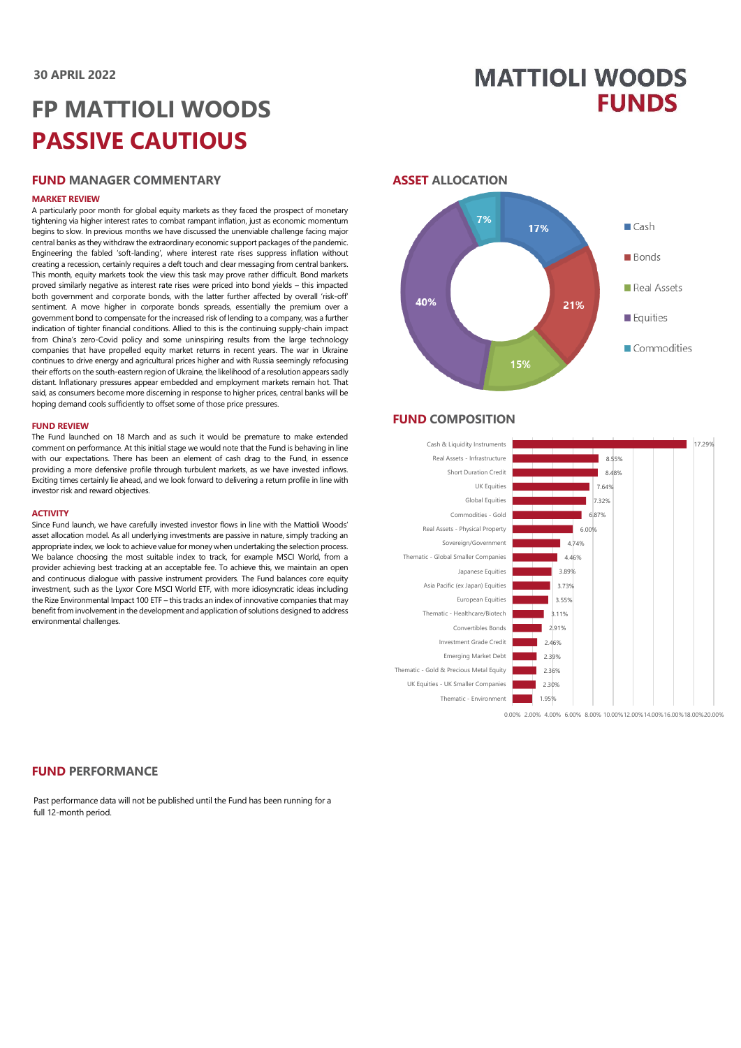## **MATTIOLI WOODS FUNDS**

# **FP MATTIOLI WOODS PASSIVE CAUTIOUS**

## **FUND MANAGER COMMENTARY**

#### **MARKET REVIEW**

A particularly poor month for global equity markets as they faced the prospect of monetary tightening via higher interest rates to combat rampant inflation, just as economic momentum begins to slow. In previous months we have discussed the unenviable challenge facing major central banks as they withdraw the extraordinary economic support packages of the pandemic. Engineering the fabled 'soft-landing', where interest rate rises suppress inflation without creating a recession, certainly requires a deft touch and clear messaging from central bankers. This month, equity markets took the view this task may prove rather difficult. Bond markets proved similarly negative as interest rate rises were priced into bond yields – this impacted both government and corporate bonds, with the latter further affected by overall 'risk-off' sentiment. A move higher in corporate bonds spreads, essentially the premium over a government bond to compensate for the increased risk of lending to a company, was a further indication of tighter financial conditions. Allied to this is the continuing supply-chain impact from China's zero-Covid policy and some uninspiring results from the large technology companies that have propelled equity market returns in recent years. The war in Ukraine continues to drive energy and agricultural prices higher and with Russia seemingly refocusing their efforts on the south-eastern region of Ukraine, the likelihood of a resolution appears sadly distant. Inflationary pressures appear embedded and employment markets remain hot. That said, as consumers become more discerning in response to higher prices, central banks will be hoping demand cools sufficiently to offset some of those price pressures.

#### **FUND REVIEW**

The Fund launched on 18 March and as such it would be premature to make extended comment on performance. At this initial stage we would note that the Fund is behaving in line with our expectations. There has been an element of cash drag to the Fund, in essence providing a more defensive profile through turbulent markets, as we have invested inflows. Exciting times certainly lie ahead, and we look forward to delivering a return profile in line with investor risk and reward objectives.

#### **ACTIVITY**

Since Fund launch, we have carefully invested investor flows in line with the Mattioli Woods' asset allocation model. As all underlying investments are passive in nature, simply tracking an appropriate index, we look to achieve value for money when undertaking the selection process. We balance choosing the most suitable index to track, for example MSCI World, from a provider achieving best tracking at an acceptable fee. To achieve this, we maintain an open and continuous dialogue with passive instrument providers. The Fund balances core equity investment, such as the Lyxor Core MSCI World ETF, with more idiosyncratic ideas including the Rize Environmental Impact 100 ETF – this tracks an index of innovative companies that may benefit from involvement in the development and application of solutions designed to address environmental challenges.

## **ASSET ALLOCATION**



#### **FUND COMPOSITION**



**FUND PERFORMANCE**

Past performance data will not be published until the Fund has been running for a full 12-month period.